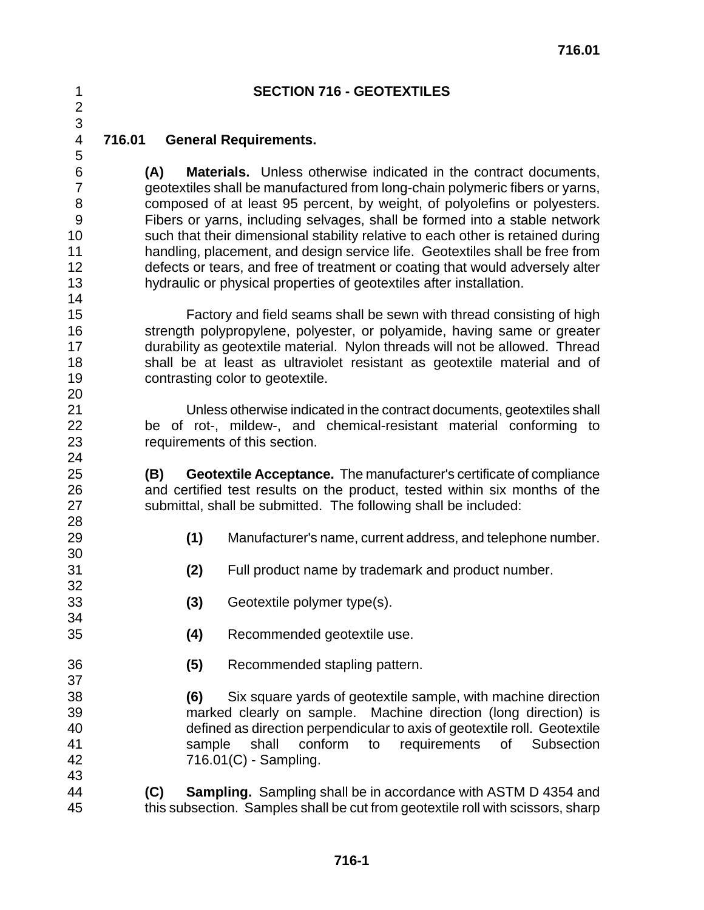### **SECTION 716 - GEOTEXTILES**

**716.01 General Requirements.** 

## **(A) Materials.** Unless otherwise indicated in the contract documents, geotextiles shall be manufactured from long-chain polymeric fibers or yarns, composed of at least 95 percent, by weight, of polyolefins or polyesters. Fibers or yarns, including selvages, shall be formed into a stable network such that their dimensional stability relative to each other is retained during handling, placement, and design service life. Geotextiles shall be free from defects or tears, and free of treatment or coating that would adversely alter hydraulic or physical properties of geotextiles after installation.

 Factory and field seams shall be sewn with thread consisting of high 16 strength polypropylene, polyester, or polyamide, having same or greater durability as geotextile material. Nylon threads will not be allowed. Thread shall be at least as ultraviolet resistant as geotextile material and of contrasting color to geotextile. 

 Unless otherwise indicated in the contract documents, geotextiles shall be of rot-, mildew-, and chemical-resistant material conforming to requirements of this section.

 **(B) Geotextile Acceptance.** The manufacturer's certificate of compliance and certified test results on the product, tested within six months of the submittal, shall be submitted. The following shall be included:

- **(1)** Manufacturer's name, current address, and telephone number.
- **(2)** Full product name by trademark and product number.
- **(3)** Geotextile polymer type(s).
- **(4)** Recommended geotextile use.
- **(5)** Recommended stapling pattern.
- **(6)** Six square yards of geotextile sample, with machine direction marked clearly on sample. Machine direction (long direction) is defined as direction perpendicular to axis of geotextile roll. Geotextile sample shall conform to requirements of Subsection 716.01(C) - Sampling.
- **(C) Sampling.** Sampling shall be in accordance with ASTM D 4354 and this subsection. Samples shall be cut from geotextile roll with scissors, sharp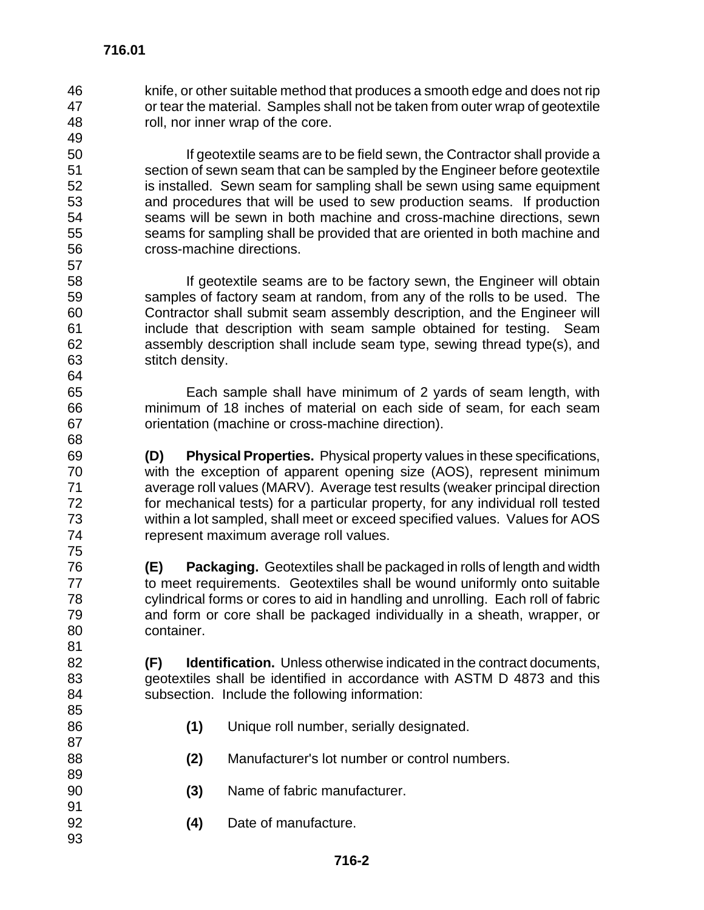knife, or other suitable method that produces a smooth edge and does not rip or tear the material. Samples shall not be taken from outer wrap of geotextile roll, nor inner wrap of the core.

 If geotextile seams are to be field sewn, the Contractor shall provide a section of sewn seam that can be sampled by the Engineer before geotextile is installed. Sewn seam for sampling shall be sewn using same equipment and procedures that will be used to sew production seams. If production seams will be sewn in both machine and cross-machine directions, sewn seams for sampling shall be provided that are oriented in both machine and cross-machine directions. 

**If geotextile seams are to be factory sewn, the Engineer will obtain**  samples of factory seam at random, from any of the rolls to be used. The Contractor shall submit seam assembly description, and the Engineer will include that description with seam sample obtained for testing. Seam assembly description shall include seam type, sewing thread type(s), and stitch density.

 Each sample shall have minimum of 2 yards of seam length, with minimum of 18 inches of material on each side of seam, for each seam orientation (machine or cross-machine direction).

 **(D) Physical Properties.** Physical property values in these specifications, with the exception of apparent opening size (AOS), represent minimum average roll values (MARV). Average test results (weaker principal direction for mechanical tests) for a particular property, for any individual roll tested within a lot sampled, shall meet or exceed specified values. Values for AOS represent maximum average roll values.

 **(E) Packaging.** Geotextiles shall be packaged in rolls of length and width to meet requirements. Geotextiles shall be wound uniformly onto suitable cylindrical forms or cores to aid in handling and unrolling. Each roll of fabric and form or core shall be packaged individually in a sheath, wrapper, or container.

 **(F) Identification.** Unless otherwise indicated in the contract documents, geotextiles shall be identified in accordance with ASTM D 4873 and this subsection. Include the following information:

- **(1)** Unique roll number, serially designated.
- **(2)** Manufacturer's lot number or control numbers.
- **(3)** Name of fabric manufacturer.
- **(4)** Date of manufacture.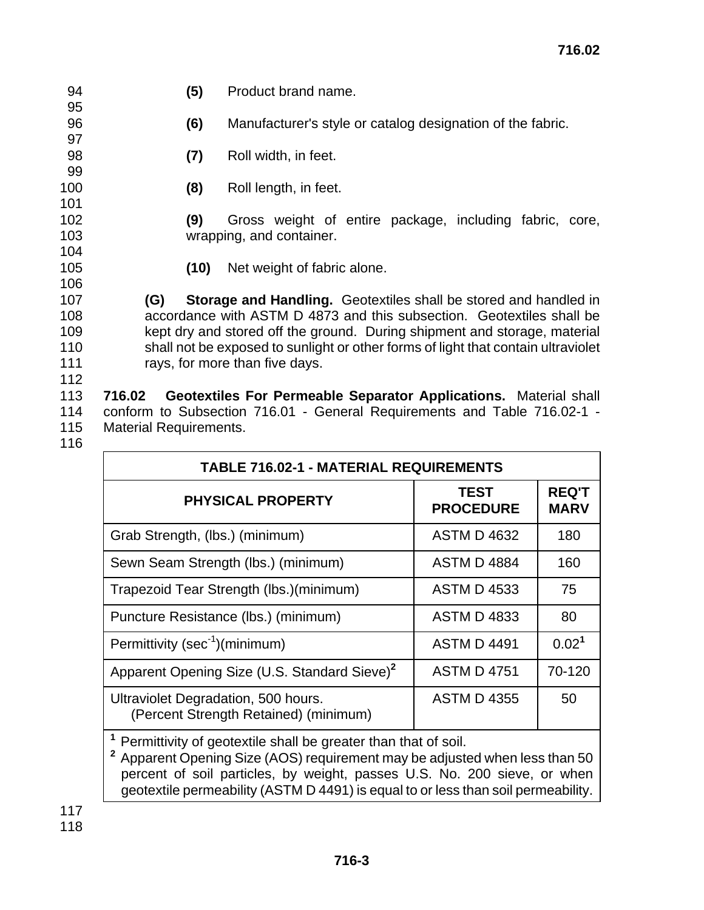95

97

99

101

104

106

- 94 **(5)** Product brand name.
- 96 **(6)** Manufacturer's style or catalog designation of the fabric.
- 98 **(7)** Roll width, in feet.
- 100 **(8)** Roll length, in feet.

102 **(9)** Gross weight of entire package, including fabric, core, 103 wrapping, and container.

105 **(10)** Net weight of fabric alone.

 **(G) Storage and Handling.** Geotextiles shall be stored and handled in accordance with ASTM D 4873 and this subsection. Geotextiles shall be kept dry and stored off the ground. During shipment and storage, material shall not be exposed to sunlight or other forms of light that contain ultraviolet rays, for more than five days.

113 **716.02 Geotextiles For Permeable Separator Applications.** Material shall 114 conform to Subsection 716.01 - General Requirements and Table 716.02-1 - 115 Material Requirements.

116

112

| <b>TABLE 716.02-1 - MATERIAL REQUIREMENTS</b>                                |                                 |                             |  |  |
|------------------------------------------------------------------------------|---------------------------------|-----------------------------|--|--|
| <b>PHYSICAL PROPERTY</b>                                                     | <b>TEST</b><br><b>PROCEDURE</b> | <b>REQ'T</b><br><b>MARV</b> |  |  |
| Grab Strength, (lbs.) (minimum)                                              | <b>ASTM D 4632</b>              | 180                         |  |  |
| Sewn Seam Strength (lbs.) (minimum)                                          | <b>ASTM D 4884</b>              | 160                         |  |  |
| Trapezoid Tear Strength (lbs.) (minimum)                                     | <b>ASTM D 4533</b>              | 75                          |  |  |
| Puncture Resistance (lbs.) (minimum)                                         | <b>ASTM D 4833</b>              | 80                          |  |  |
| Permittivity (sec <sup>-1</sup> )(minimum)                                   | <b>ASTM D 4491</b>              | 0.02 <sup>1</sup>           |  |  |
| Apparent Opening Size (U.S. Standard Sieve) <sup>2</sup>                     | <b>ASTM D 4751</b>              | 70-120                      |  |  |
| Ultraviolet Degradation, 500 hours.<br>(Percent Strength Retained) (minimum) | <b>ASTM D 4355</b>              | 50                          |  |  |
| 1. Decomplished of montechile algebra was atomitives that of a city          |                                 |                             |  |  |

**<sup>1</sup>**Permittivity of geotextile shall be greater than that of soil.

**<sup>2</sup>**Apparent Opening Size (AOS) requirement may be adjusted when less than 50 percent of soil particles, by weight, passes U.S. No. 200 sieve, or when geotextile permeability (ASTM D 4491) is equal to or less than soil permeability.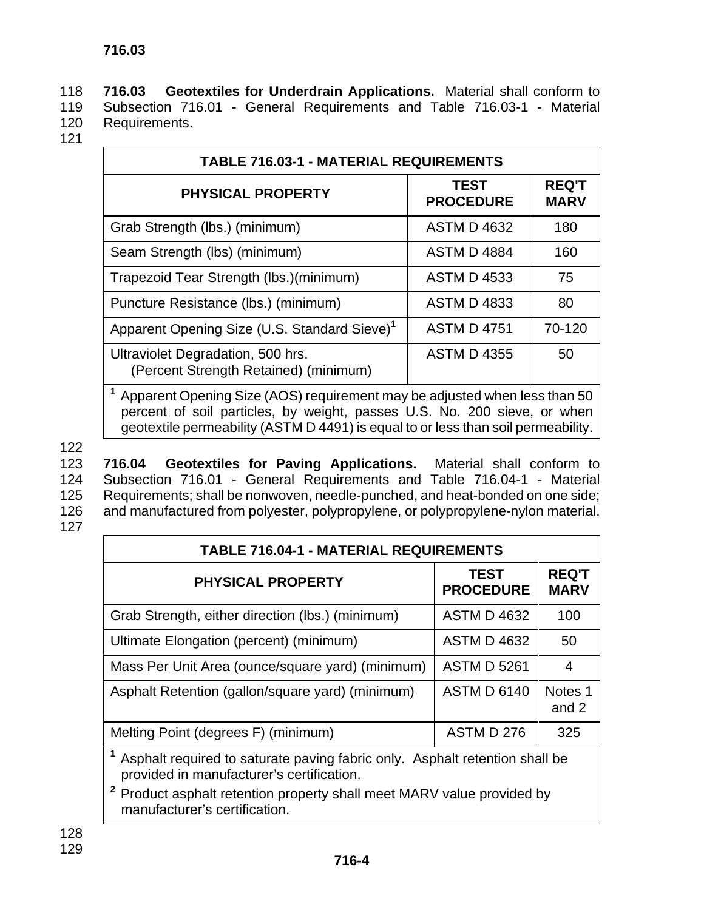118 **716.03 Geotextiles for Underdrain Applications.** Material shall conform to 119 Subsection 716.01 - General Requirements and Table 716.03-1 - Material 120 Requirements.

121

| <b>TABLE 716.03-1 - MATERIAL REQUIREMENTS</b>                              |                                 |                             |  |
|----------------------------------------------------------------------------|---------------------------------|-----------------------------|--|
| <b>PHYSICAL PROPERTY</b>                                                   | <b>TEST</b><br><b>PROCEDURE</b> | <b>REQ'T</b><br><b>MARV</b> |  |
| Grab Strength (lbs.) (minimum)                                             | <b>ASTM D 4632</b>              | 180                         |  |
| Seam Strength (lbs) (minimum)                                              | <b>ASTM D 4884</b>              | 160                         |  |
| Trapezoid Tear Strength (lbs.) (minimum)                                   | <b>ASTM D 4533</b>              | 75                          |  |
| Puncture Resistance (lbs.) (minimum)                                       | <b>ASTM D 4833</b>              | 80                          |  |
| Apparent Opening Size (U.S. Standard Sieve) <sup>1</sup>                   | <b>ASTM D 4751</b>              | 70-120                      |  |
| Ultraviolet Degradation, 500 hrs.<br>(Percent Strength Retained) (minimum) | <b>ASTM D 4355</b>              | 50                          |  |
|                                                                            |                                 |                             |  |

**<sup>1</sup>**Apparent Opening Size (AOS) requirement may be adjusted when less than 50 percent of soil particles, by weight, passes U.S. No. 200 sieve, or when geotextile permeability (ASTM D 4491) is equal to or less than soil permeability.

122

 **716.04 Geotextiles for Paving Applications.** Material shall conform to Subsection 716.01 - General Requirements and Table 716.04-1 - Material Requirements; shall be nonwoven, needle-punched, and heat-bonded on one side; and manufactured from polyester, polypropylene, or polypropylene-nylon material. 127

| <b>TABLE 716.04-1 - MATERIAL REQUIREMENTS</b>                                                                                                                                                                                                     |                                 |                             |  |
|---------------------------------------------------------------------------------------------------------------------------------------------------------------------------------------------------------------------------------------------------|---------------------------------|-----------------------------|--|
| <b>PHYSICAL PROPERTY</b>                                                                                                                                                                                                                          | <b>TEST</b><br><b>PROCEDURE</b> | <b>REQ'T</b><br><b>MARV</b> |  |
| Grab Strength, either direction (lbs.) (minimum)                                                                                                                                                                                                  | <b>ASTM D 4632</b>              | 100                         |  |
| Ultimate Elongation (percent) (minimum)                                                                                                                                                                                                           | <b>ASTM D 4632</b>              | 50                          |  |
| Mass Per Unit Area (ounce/square yard) (minimum)                                                                                                                                                                                                  | <b>ASTM D 5261</b>              | 4                           |  |
| Asphalt Retention (gallon/square yard) (minimum)                                                                                                                                                                                                  | <b>ASTM D 6140</b>              | Notes <sub>1</sub><br>and 2 |  |
| Melting Point (degrees F) (minimum)                                                                                                                                                                                                               | ASTM D 276                      | 325                         |  |
| Asphalt required to saturate paving fabric only. Asphalt retention shall be<br>provided in manufacturer's certification.<br>$\mathbf{z}$<br>Product asphalt retention property shall meet MARV value provided by<br>manufacturer's certification. |                                 |                             |  |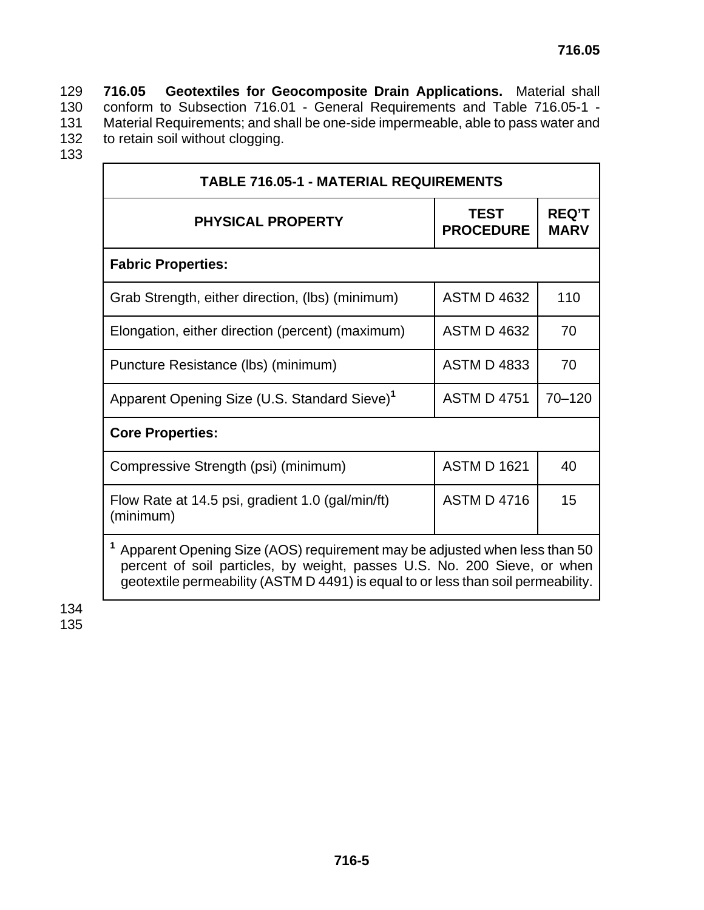129 **716.05 Geotextiles for Geocomposite Drain Applications.** Material shall 130 conform to Subsection 716.01 - General Requirements and Table 716.05-1 -<br>131 Material Requirements; and shall be one-side impermeable, able to pass water and 131 Material Requirements; and shall be one-side impermeable, able to pass water and<br>132 to retain soil without clogging. to retain soil without clogging.

133

| <b>TABLE 716.05-1 - MATERIAL REQUIREMENTS</b>                                                                                                                                                                                                           |                                 |                             |  |  |
|---------------------------------------------------------------------------------------------------------------------------------------------------------------------------------------------------------------------------------------------------------|---------------------------------|-----------------------------|--|--|
| <b>PHYSICAL PROPERTY</b>                                                                                                                                                                                                                                | <b>TEST</b><br><b>PROCEDURE</b> | <b>REQ'T</b><br><b>MARV</b> |  |  |
| <b>Fabric Properties:</b>                                                                                                                                                                                                                               |                                 |                             |  |  |
| Grab Strength, either direction, (Ibs) (minimum)                                                                                                                                                                                                        | <b>ASTM D 4632</b>              | 110                         |  |  |
| Elongation, either direction (percent) (maximum)                                                                                                                                                                                                        | <b>ASTM D 4632</b>              | 70                          |  |  |
| Puncture Resistance (lbs) (minimum)                                                                                                                                                                                                                     | <b>ASTM D 4833</b>              | 70                          |  |  |
| Apparent Opening Size (U.S. Standard Sieve) <sup>1</sup>                                                                                                                                                                                                | <b>ASTM D 4751</b>              | $70 - 120$                  |  |  |
| <b>Core Properties:</b>                                                                                                                                                                                                                                 |                                 |                             |  |  |
| Compressive Strength (psi) (minimum)                                                                                                                                                                                                                    | <b>ASTM D 1621</b>              | 40                          |  |  |
| Flow Rate at 14.5 psi, gradient 1.0 (gal/min/ft)<br>(minimum)                                                                                                                                                                                           | <b>ASTM D 4716</b>              | 15                          |  |  |
| <sup>1</sup> Apparent Opening Size (AOS) requirement may be adjusted when less than 50<br>percent of soil particles, by weight, passes U.S. No. 200 Sieve, or when<br>geotextile permeability (ASTM D 4491) is equal to or less than soil permeability. |                                 |                             |  |  |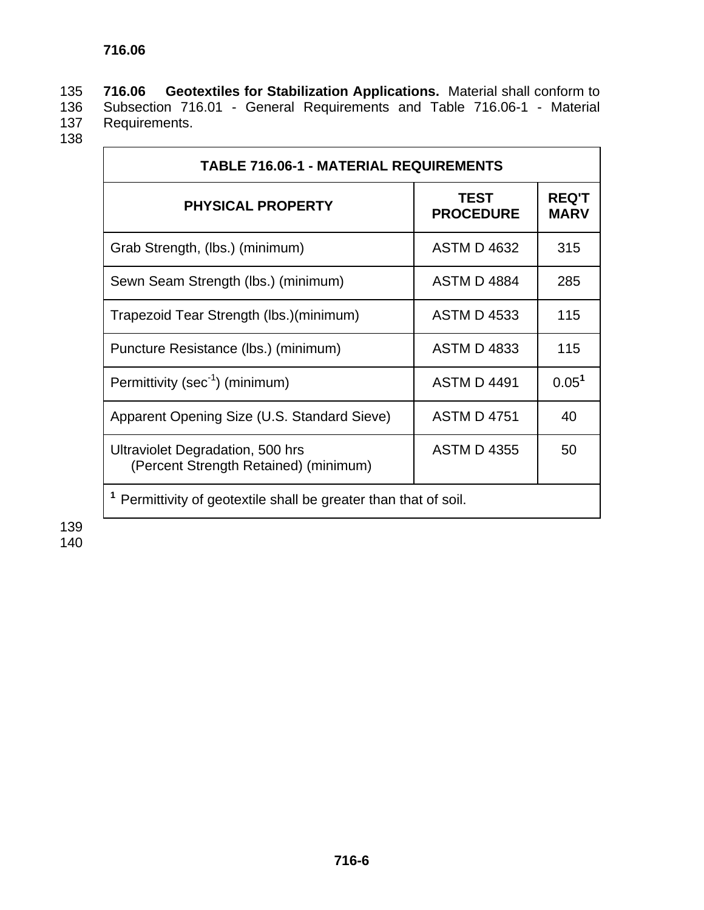135 **716.06 Geotextiles for Stabilization Applications.** Material shall conform to 136 Subsection 716.01 - General Requirements and Table 716.06-1 - Material 137 Requirements. Requirements.

138

| <b>TABLE 716.06-1 - MATERIAL REQUIREMENTS</b>                               |                                 |                             |  |
|-----------------------------------------------------------------------------|---------------------------------|-----------------------------|--|
| <b>PHYSICAL PROPERTY</b>                                                    | <b>TEST</b><br><b>PROCEDURE</b> | <b>REQ'T</b><br><b>MARV</b> |  |
| Grab Strength, (lbs.) (minimum)                                             | <b>ASTM D 4632</b>              | 315                         |  |
| Sewn Seam Strength (lbs.) (minimum)                                         | <b>ASTM D 4884</b>              | 285                         |  |
| Trapezoid Tear Strength (lbs.) (minimum)                                    | <b>ASTM D 4533</b>              | 115                         |  |
| Puncture Resistance (lbs.) (minimum)                                        | <b>ASTM D 4833</b>              | 115                         |  |
| Permittivity (sec <sup>-1</sup> ) (minimum)                                 | <b>ASTM D 4491</b>              | 0.05 <sup>1</sup>           |  |
| Apparent Opening Size (U.S. Standard Sieve)                                 | <b>ASTM D 4751</b>              | 40                          |  |
| Ultraviolet Degradation, 500 hrs<br>(Percent Strength Retained) (minimum)   | <b>ASTM D 4355</b>              | 50                          |  |
| <sup>1</sup> Permittivity of geotextile shall be greater than that of soil. |                                 |                             |  |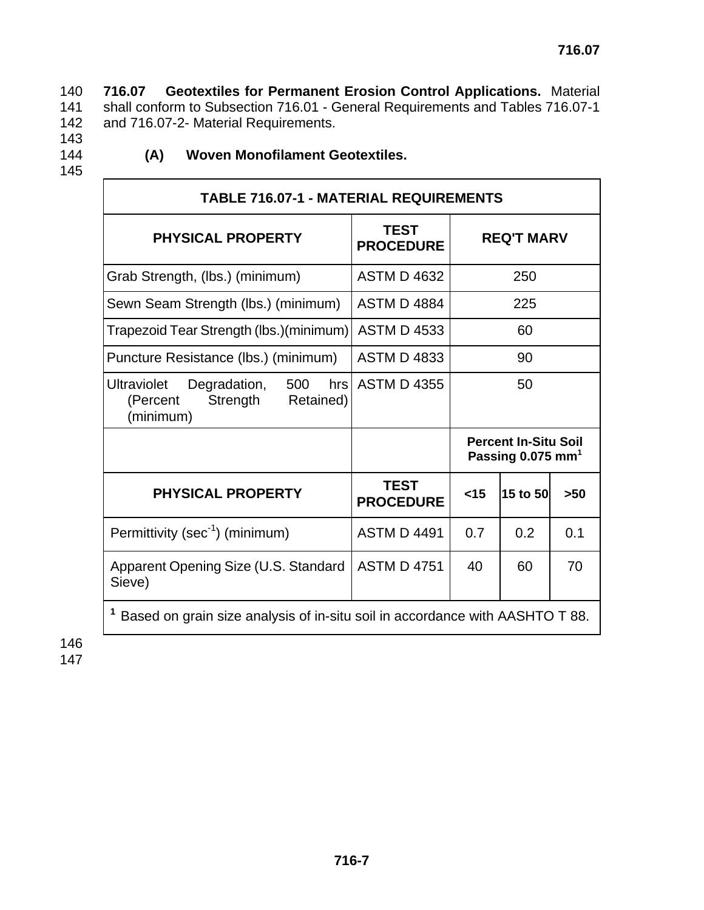140 **716.07 Geotextiles for Permanent Erosion Control Applications.** Material 141 shall conform to Subsection 716.01 - General Requirements and Tables 716.07-1 142 and 716.07-2- Material Requirements.

- 143
- 

## 144 **(A) Woven Monofilament Geotextiles.**

145

| <b>TABLE 716.07-1 - MATERIAL REQUIREMENTS</b>                                               |                                 |                                                              |          |     |
|---------------------------------------------------------------------------------------------|---------------------------------|--------------------------------------------------------------|----------|-----|
| <b>PHYSICAL PROPERTY</b>                                                                    | <b>TEST</b><br><b>PROCEDURE</b> | <b>REQ'T MARV</b>                                            |          |     |
| Grab Strength, (lbs.) (minimum)                                                             | <b>ASTM D 4632</b>              |                                                              | 250      |     |
| Sewn Seam Strength (lbs.) (minimum)                                                         | <b>ASTM D 4884</b>              |                                                              | 225      |     |
| Trapezoid Tear Strength (lbs.) (minimum)                                                    | <b>ASTM D 4533</b>              | 60                                                           |          |     |
| Puncture Resistance (lbs.) (minimum)                                                        | <b>ASTM D 4833</b>              | 90                                                           |          |     |
| Degradation,<br>Ultraviolet<br>500<br>hrs<br>Retained)<br>(Percent<br>Strength<br>(minimum) | <b>ASTM D 4355</b>              |                                                              | 50       |     |
|                                                                                             |                                 | <b>Percent In-Situ Soil</b><br>Passing 0.075 mm <sup>1</sup> |          |     |
| <b>PHYSICAL PROPERTY</b>                                                                    | <b>TEST</b><br><b>PROCEDURE</b> | $<$ 15                                                       | 15 to 50 | >50 |
| Permittivity (sec <sup>-1</sup> ) (minimum)                                                 | <b>ASTM D 4491</b>              | 0.7                                                          | 0.2      | 0.1 |
| Apparent Opening Size (U.S. Standard<br>Sieve)                                              | <b>ASTM D 4751</b>              | 40                                                           | 60       | 70  |
| Based on grain size analysis of in-situ soil in accordance with AASHTO T 88.                |                                 |                                                              |          |     |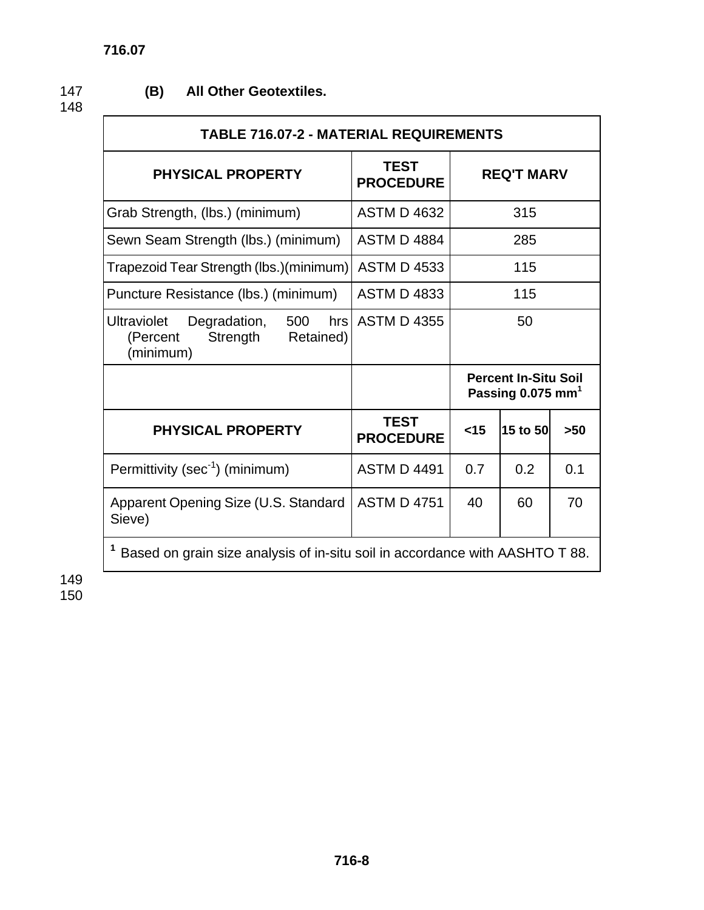# 147 **(B) All Other Geotextiles.**

148 **716.07** 

| <b>TABLE 716.07-2 - MATERIAL REQUIREMENTS</b>                                               |                                 |                                                              |          |     |
|---------------------------------------------------------------------------------------------|---------------------------------|--------------------------------------------------------------|----------|-----|
| <b>PHYSICAL PROPERTY</b>                                                                    | <b>TEST</b><br><b>PROCEDURE</b> | <b>REQ'T MARV</b>                                            |          |     |
| Grab Strength, (lbs.) (minimum)                                                             | <b>ASTM D 4632</b>              |                                                              | 315      |     |
| Sewn Seam Strength (lbs.) (minimum)                                                         | <b>ASTM D 4884</b>              |                                                              | 285      |     |
| Trapezoid Tear Strength (lbs.) (minimum)                                                    | <b>ASTM D 4533</b>              |                                                              | 115      |     |
| Puncture Resistance (lbs.) (minimum)                                                        | <b>ASTM D 4833</b>              |                                                              | 115      |     |
| Degradation,<br>500<br><b>Ultraviolet</b><br>Strength<br>Retained)<br>(Percent<br>(minimum) | hrs ASTM D 4355                 | 50                                                           |          |     |
|                                                                                             |                                 | <b>Percent In-Situ Soil</b><br>Passing 0.075 mm <sup>1</sup> |          |     |
| <b>PHYSICAL PROPERTY</b>                                                                    | <b>TEST</b><br><b>PROCEDURE</b> | $<$ 15                                                       | 15 to 50 | >50 |
| Permittivity (sec <sup>-1</sup> ) (minimum)                                                 | <b>ASTM D 4491</b>              | 0.7                                                          | 0.2      | 0.1 |
| Apparent Opening Size (U.S. Standard<br>Sieve)                                              | <b>ASTM D 4751</b>              | 40                                                           | 60       | 70  |
| <sup>1</sup> Based on grain size analysis of in-situ soil in accordance with AASHTO T 88.   |                                 |                                                              |          |     |